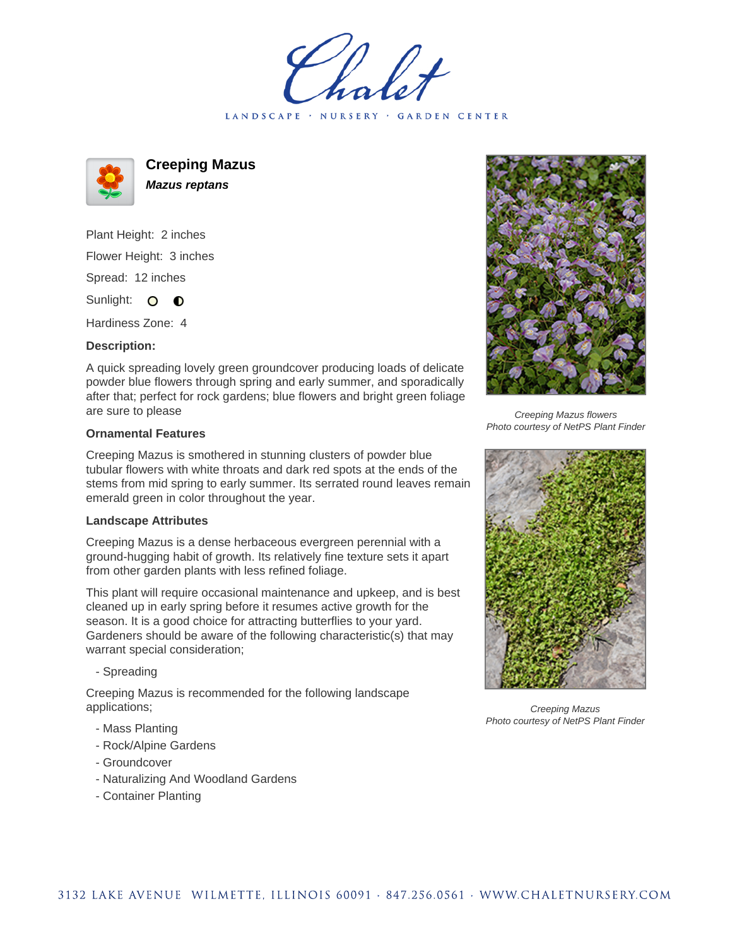holet LANDSCAPE · NURSERY · GARDEN CENTER



**Creeping Mazus Mazus reptans**

Plant Height: 2 inches Flower Height: 3 inches Spread: 12 inches

Sunlight: O **O** 

Hardiness Zone: 4

## **Description:**

A quick spreading lovely green groundcover producing loads of delicate powder blue flowers through spring and early summer, and sporadically after that; perfect for rock gardens; blue flowers and bright green foliage are sure to please

## **Ornamental Features**

Creeping Mazus is smothered in stunning clusters of powder blue tubular flowers with white throats and dark red spots at the ends of the stems from mid spring to early summer. Its serrated round leaves remain emerald green in color throughout the year.

## **Landscape Attributes**

Creeping Mazus is a dense herbaceous evergreen perennial with a ground-hugging habit of growth. Its relatively fine texture sets it apart from other garden plants with less refined foliage.

This plant will require occasional maintenance and upkeep, and is best cleaned up in early spring before it resumes active growth for the season. It is a good choice for attracting butterflies to your yard. Gardeners should be aware of the following characteristic(s) that may warrant special consideration;

- Spreading

Creeping Mazus is recommended for the following landscape applications;

- Mass Planting
- Rock/Alpine Gardens
- Groundcover
- Naturalizing And Woodland Gardens
- Container Planting



Creeping Mazus flowers Photo courtesy of NetPS Plant Finder



Creeping Mazus Photo courtesy of NetPS Plant Finder